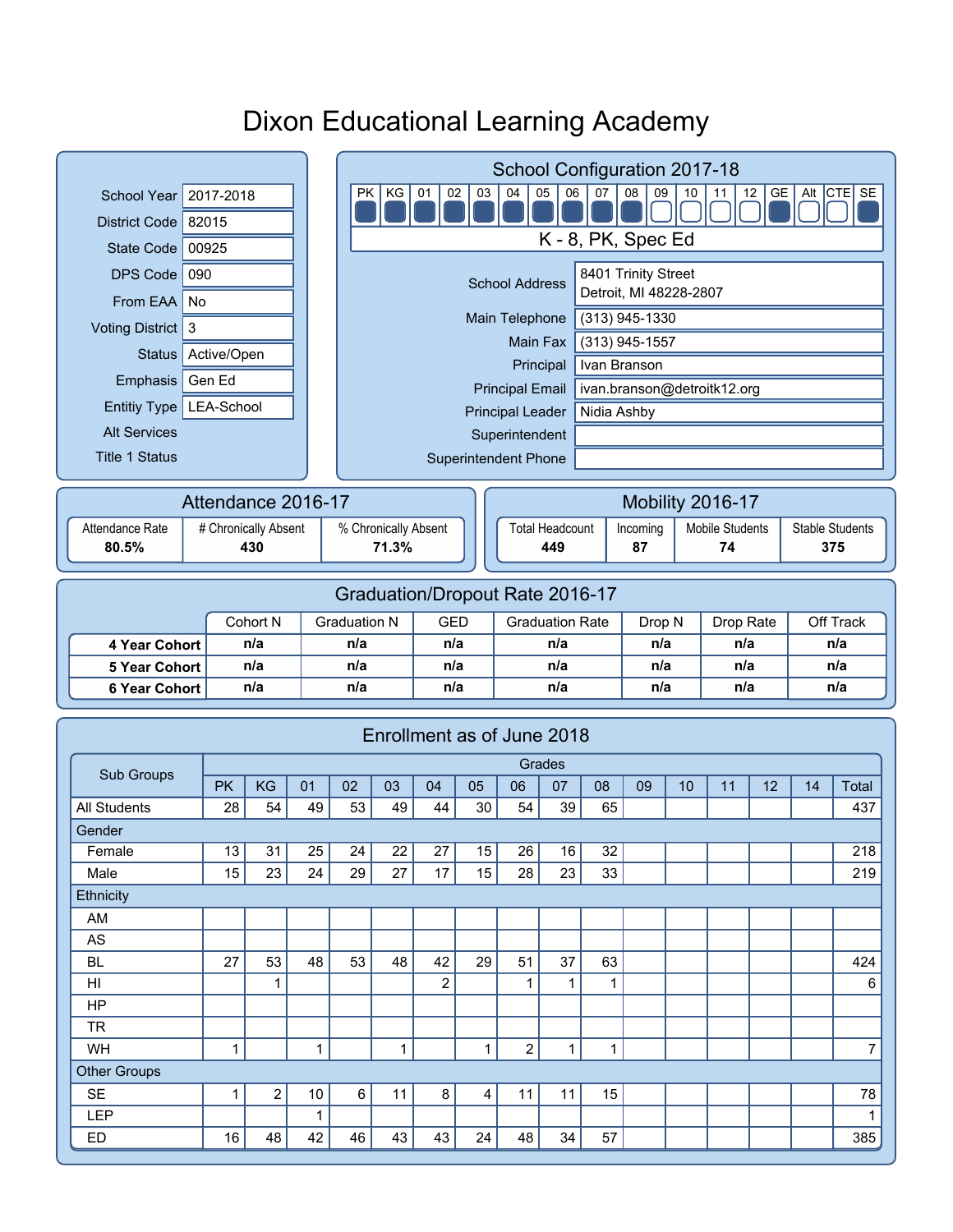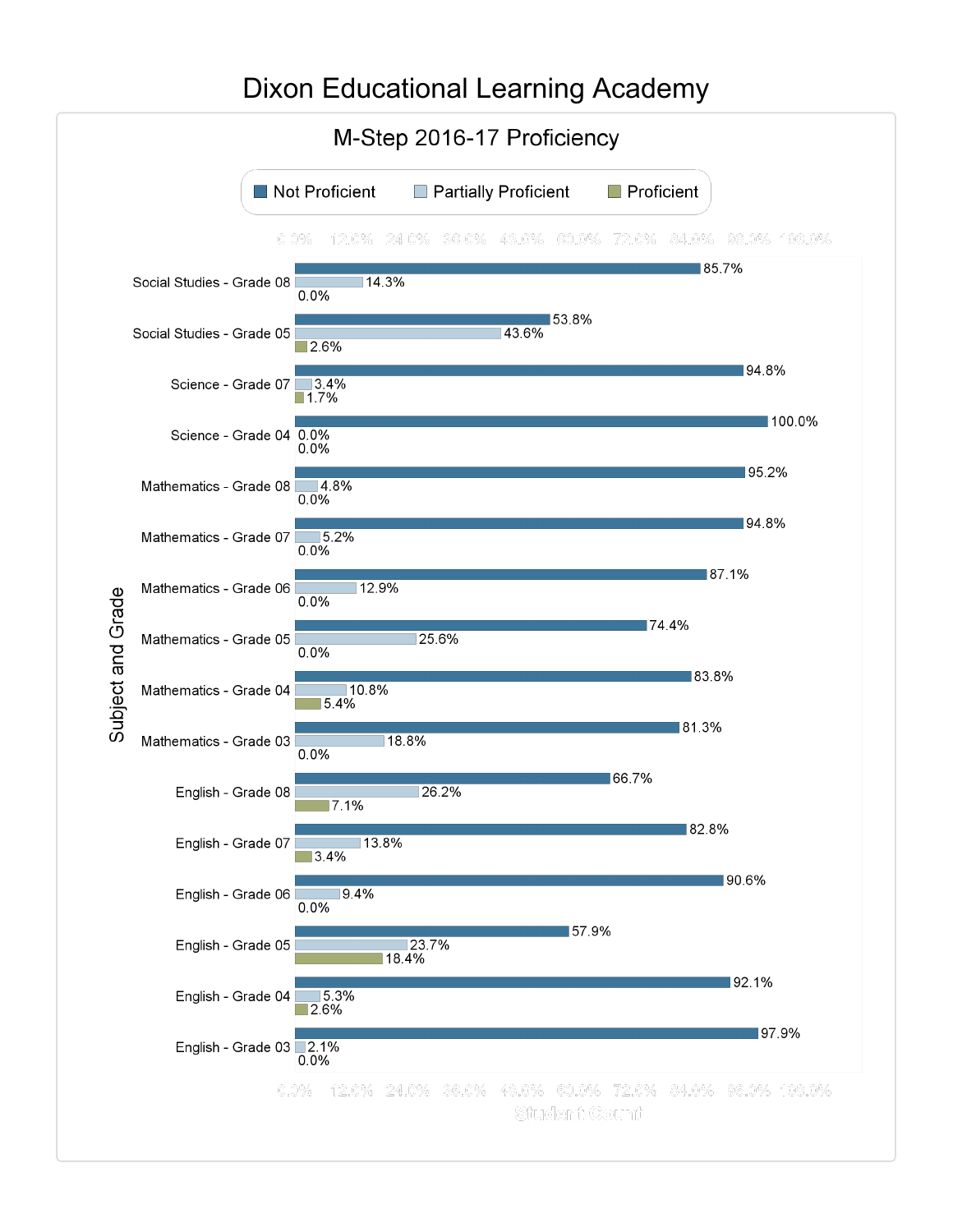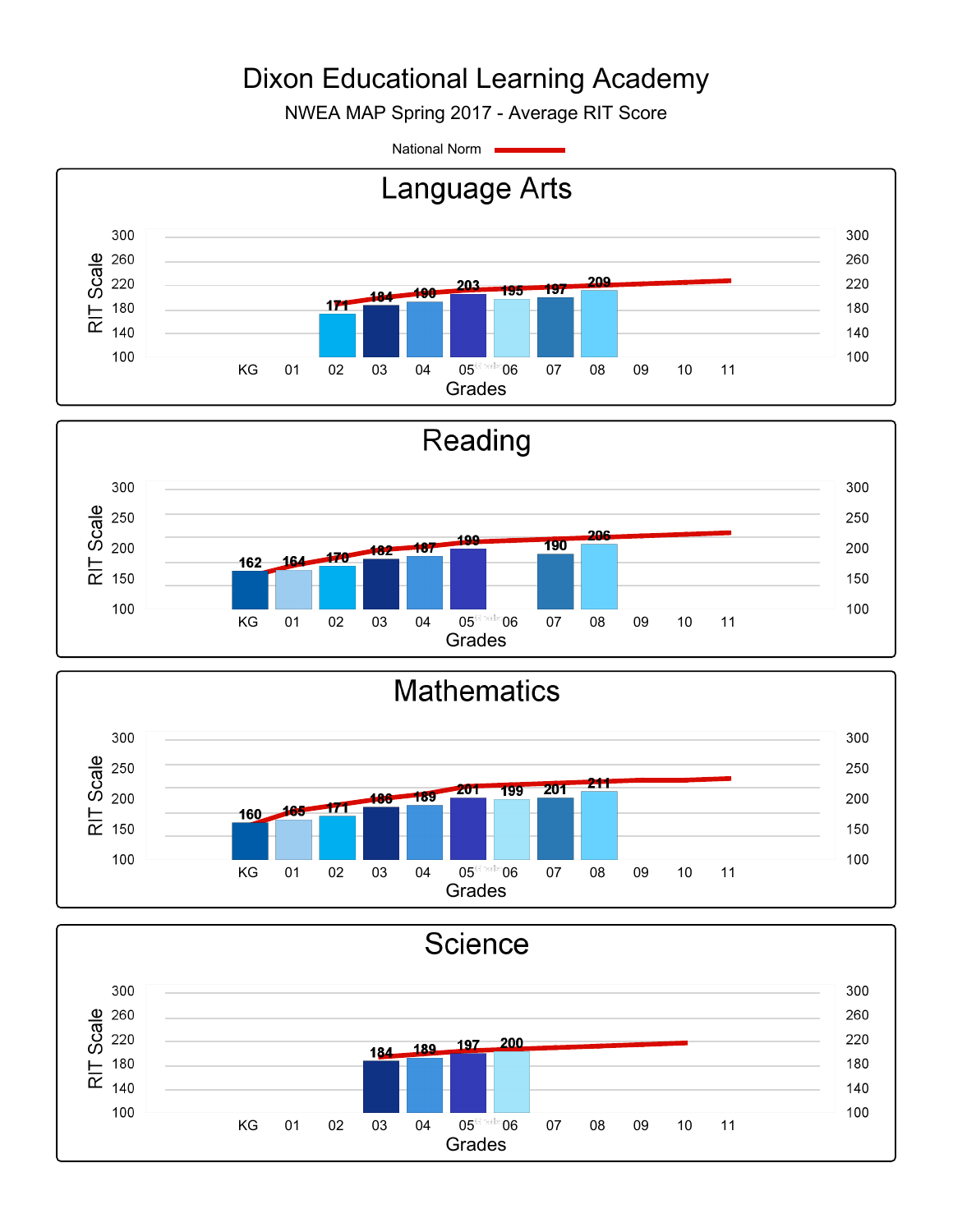NWEA MAP Spring 2017 - Average RIT Score

National Norm